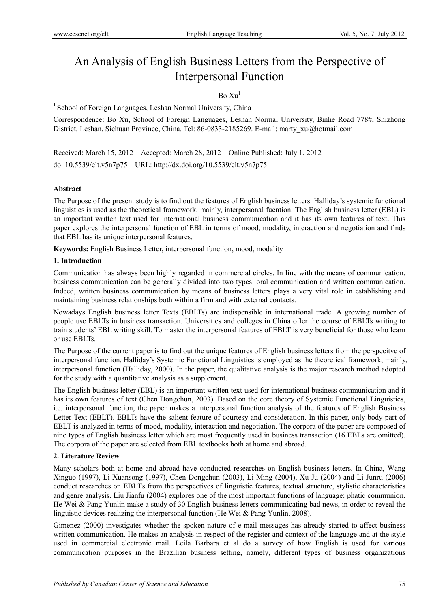# An Analysis of English Business Letters from the Perspective of Interpersonal Function

# Bo  $Xu<sup>1</sup>$

<sup>1</sup> School of Foreign Languages, Leshan Normal University, China

Correspondence: Bo Xu, School of Foreign Languages, Leshan Normal University, Binhe Road 778#, Shizhong District, Leshan, Sichuan Province, China. Tel: 86-0833-2185269. E-mail: marty\_xu@hotmail.com

Received: March 15, 2012 Accepted: March 28, 2012 Online Published: July 1, 2012 doi:10.5539/elt.v5n7p75 URL: http://dx.doi.org/10.5539/elt.v5n7p75

## **Abstract**

The Purpose of the present study is to find out the features of English business letters. Halliday's systemic functional linguistics is used as the theoretical framework, mainly, interpersonal fucntion. The English business letter (EBL) is an important written text used for international business communication and it has its own features of text. This paper explores the interpersonal function of EBL in terms of mood, modality, interaction and negotiation and finds that EBL has its unique interpersonal features.

**Keywords:** English Business Letter, interpersonal function, mood, modality

### **1. Introduction**

Communication has always been highly regarded in commercial circles. In line with the means of communication, business communication can be generally divided into two types: oral communication and written communication. Indeed, written business communication by means of business letters plays a very vital role in establishing and maintaining business relationships both within a firm and with external contacts.

Nowadays English business letter Texts (EBLTs) are indispensible in international trade. A growing number of people use EBLTs in business transaction. Universities and colleges in China offer the course of EBLTs writing to train students' EBL writing skill. To master the interpersonal features of EBLT is very beneficial for those who learn or use EBLTs.

The Purpose of the current paper is to find out the unique features of English business letters from the perspecitve of interpersonal function. Halliday's Systemic Functional Linguistics is employed as the theoretical framework, mainly, interpersonal function (Halliday, 2000). In the paper, the qualitative analysis is the major research method adopted for the study with a quantitative analysis as a supplement.

The English business letter (EBL) is an important written text used for international business communication and it has its own features of text (Chen Dongchun, 2003). Based on the core theory of Systemic Functional Linguistics, i.e. interpersonal function, the paper makes a interpersonal function analysis of the features of English Business Letter Text (EBLT). EBLTs have the salient feature of courtesy and consideration. In this paper, only body part of EBLT is analyzed in terms of mood, modality, interaction and negotiation. The corpora of the paper are composed of nine types of English business letter which are most frequently used in business transaction (16 EBLs are omitted). The corpora of the paper are selected from EBL textbooks both at home and abroad.

# **2. Literature Review**

Many scholars both at home and abroad have conducted researches on English business letters. In China, Wang Xinguo (1997), Li Xuansong (1997), Chen Dongchun (2003), Li Ming (2004), Xu Ju (2004) and Li Junru (2006) conduct researches on EBLTs from the perspectives of linguistic features, textual structure, stylistic characteristics and genre analysis. Liu Jianfu (2004) explores one of the most important functions of language: phatic communion. He Wei & Pang Yunlin make a study of 30 English business letters communicating bad news, in order to reveal the linguistic devices realizing the interpersonal function (He Wei & Pang Yunlin, 2008).

Gimenez (2000) investigates whether the spoken nature of e-mail messages has already started to affect business written communication. He makes an analysis in respect of the register and context of the language and at the style used in commercial electronic mail. Leila Barbara et al do a survey of how English is used for various communication purposes in the Brazilian business setting, namely, different types of business organizations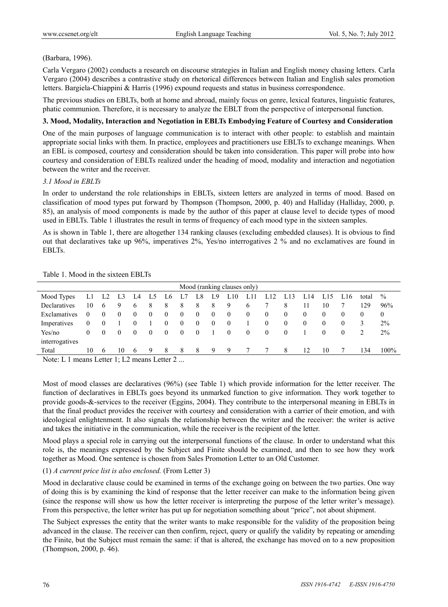# (Barbara, 1996).

Carla Vergaro (2002) conducts a research on discourse strategies in Italian and English money chasing letters. Carla Vergaro (2004) describes a contrastive study on rhetorical differences between Italian and English sales promotion letters. Bargiela-Chiappini & Harris (1996) expound requests and status in business correspondence.

The previous studies on EBLTs, both at home and abroad, mainly focus on genre, lexical features, linguistic features, phatic communion. Therefore, it is necessary to analyze the EBLT from the perspective of interpersonal function.

# **3. Mood, Modality, Interaction and Negotiation in EBLTs Embodying Feature of Courtesy and Consideration**

One of the main purposes of language communication is to interact with other people: to establish and maintain appropriate social links with them. In practice, employees and practitioners use EBLTs to exchange meanings. When an EBL is composed, courtesy and consideration should be taken into consideration. This paper will probe into how courtesy and consideration of EBLTs realized under the heading of mood, modality and interaction and negotiation between the writer and the receiver.

# *3.1 Mood in EBLTs*

In order to understand the role relationships in EBLTs, sixteen letters are analyzed in terms of mood. Based on classification of mood types put forward by Thompson (Thompson, 2000, p. 40) and Halliday (Halliday, 2000, p. 85), an analysis of mood components is made by the author of this paper at clause level to decide types of mood used in EBLTs. Table 1 illustrates the result in terms of frequency of each mood type in the sixteen samples.

As is shown in Table 1, there are altogether 134 ranking clauses (excluding embedded clauses). It is obvious to find out that declaratives take up 96%, imperatives 2%, Yes/no interrogatives 2 % and no exclamatives are found in EBLTs.

## Table 1. Mood in the sixteen EBLTs

| Mood (ranking clauses only)                             |          |          |                  |          |          |                |          |                |                |              |     |          |              |          |          |                 |       |               |
|---------------------------------------------------------|----------|----------|------------------|----------|----------|----------------|----------|----------------|----------------|--------------|-----|----------|--------------|----------|----------|-----------------|-------|---------------|
| Mood Types                                              | L1       |          | L3               | L4       | L5       | L6             | L7       | L8             | L9             | L10          | L11 | L12      |              |          | LI5      | L <sub>16</sub> | total | $\frac{0}{0}$ |
| Declaratives                                            | 10       | 6        | 9                | 6        | 8        | 8              | 8        | 8              | 8              | 9            | 6   |          | 8            | 11       | 10       |                 | 129   | 96%           |
| Exclamatives                                            | $\theta$ | $\theta$ | $\overline{0}$   | $\theta$ | $\theta$ | $\mathbf{0}$   | $\Omega$ | $\overline{0}$ | $\theta$       | $\mathbf{0}$ | 0   | $\theta$ | $\left($     | $\theta$ | $\theta$ | 0               | 0     | $\theta$      |
| Imperatives                                             | 0        | 0        |                  | $\theta$ |          | $\overline{0}$ | $\theta$ | $\overline{0}$ | $\overline{0}$ | $\mathbf{0}$ |     | 0        | $\mathbf{0}$ | $\bf{0}$ | $\bf{0}$ | 0               |       | $2\%$         |
| Yes/no                                                  | 0        | $\theta$ | $\boldsymbol{0}$ | $\theta$ | $\theta$ | $\theta$       | $\theta$ | $\overline{0}$ |                | $\theta$     | 0   | $\theta$ | $\theta$     |          |          | 0               | 2     | $2\%$         |
| interrogatives                                          |          |          |                  |          |          |                |          |                |                |              |     |          |              |          |          |                 |       |               |
| Total                                                   | 10       | 6        | 10               | 6        | 9        | 8              | 8        | 8              | 9              | 9            |     |          | 8            | 12       | 10       |                 | 134   | $100\%$       |
| $N_{\text{obs}}$ I 1 means Letter 1. I 2 means Letter 2 |          |          |                  |          |          |                |          |                |                |              |     |          |              |          |          |                 |       |               |

Note: L 1 means Letter 1; L2 means Letter 2 ...

Most of mood classes are declaratives (96%) (see Table 1) which provide information for the letter receiver. The function of declaratives in EBLTs goes beyond its unmarked function to give information. They work together to provide goods-&-services to the receiver (Eggins, 2004). They contribute to the interpersonal meaning in EBLTs in that the final product provides the receiver with courtesy and consideration with a carrier of their emotion, and with ideological enlightenment. It also signals the relationship between the writer and the receiver: the writer is active and takes the initiative in the communication, while the receiver is the recipient of the letter.

Mood plays a special role in carrying out the interpersonal functions of the clause. In order to understand what this role is, the meanings expressed by the Subject and Finite should be examined, and then to see how they work together as Mood. One sentence is chosen from Sales Promotion Letter to an Old Customer.

# (1) *A current price list is also enclosed.* (From Letter 3)

Mood in declarative clause could be examined in terms of the exchange going on between the two parties. One way of doing this is by examining the kind of response that the letter receiver can make to the information being given (since the response will show us how the letter receiver is interpreting the purpose of the letter writer's message). From this perspective, the letter writer has put up for negotiation something about "price", not about shipment.

The Subject expresses the entity that the writer wants to make responsible for the validity of the proposition being advanced in the clause. The receiver can then confirm, reject, query or qualify the validity by repeating or amending the Finite, but the Subject must remain the same: if that is altered, the exchange has moved on to a new proposition (Thompson, 2000, p. 46).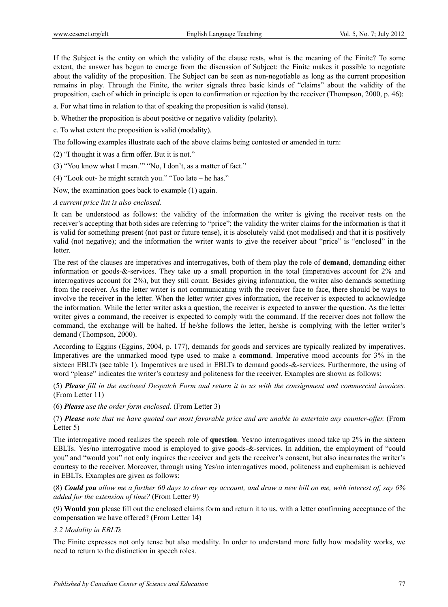If the Subject is the entity on which the validity of the clause rests, what is the meaning of the Finite? To some extent, the answer has begun to emerge from the discussion of Subject: the Finite makes it possible to negotiate about the validity of the proposition. The Subject can be seen as non-negotiable as long as the current proposition remains in play. Through the Finite, the writer signals three basic kinds of "claims" about the validity of the proposition, each of which in principle is open to confirmation or rejection by the receiver (Thompson, 2000, p. 46):

- a. For what time in relation to that of speaking the proposition is valid (tense).
- b. Whether the proposition is about positive or negative validity (polarity).
- c. To what extent the proposition is valid (modality).

The following examples illustrate each of the above claims being contested or amended in turn:

- (2) "I thought it was a firm offer. But it is not."
- (3) "You know what I mean.'" "No, I don't, as a matter of fact."
- (4) "Look out- he might scratch you." "Too late he has."

Now, the examination goes back to example (1) again.

#### *A current price list is also enclosed.*

It can be understood as follows: the validity of the information the writer is giving the receiver rests on the receiver's accepting that both sides are referring to "price"; the validity the writer claims for the information is that it is valid for something present (not past or future tense), it is absolutely valid (not modalised) and that it is positively valid (not negative); and the information the writer wants to give the receiver about "price" is "enclosed" in the letter.

The rest of the clauses are imperatives and interrogatives, both of them play the role of **demand**, demanding either information or goods-&-services. They take up a small proportion in the total (imperatives account for 2% and interrogatives account for 2%), but they still count. Besides giving information, the writer also demands something from the receiver. As the letter writer is not communicating with the receiver face to face, there should be ways to involve the receiver in the letter. When the letter writer gives information, the receiver is expected to acknowledge the information. While the letter writer asks a question, the receiver is expected to answer the question. As the letter writer gives a command, the receiver is expected to comply with the command. If the receiver does not follow the command, the exchange will be halted. If he/she follows the letter, he/she is complying with the letter writer's demand (Thompson, 2000).

According to Eggins (Eggins, 2004, p. 177), demands for goods and services are typically realized by imperatives. Imperatives are the unmarked mood type used to make a **command**. Imperative mood accounts for 3% in the sixteen EBLTs (see table 1). Imperatives are used in EBLTs to demand goods-&-services. Furthermore, the using of word "please" indicates the writer's courtesy and politeness for the receiver. Examples are shown as follows:

(5) *Please fill in the enclosed Despatch Form and return it to us with the consignment and commercial invoices.*  (From Letter 11)

(6) *Please use the order form enclosed.* (From Letter 3)

(7) *Please note that we have quoted our most favorable price and are unable to entertain any counter-offer.* (From Letter 5)

The interrogative mood realizes the speech role of **question**. Yes/no interrogatives mood take up 2% in the sixteen EBLTs. Yes/no interrogative mood is employed to give goods-&-services. In addition, the employment of "could you" and "would you" not only inquires the receiver and gets the receiver's consent, but also incarnates the writer's courtesy to the receiver. Moreover, through using Yes/no interrogatives mood, politeness and euphemism is achieved in EBLTs. Examples are given as follows:

(8) *Could you allow me a further 60 days to clear my account, and draw a new bill on me, with interest of, say 6% added for the extension of time?* (From Letter 9)

(9) **Would you** please fill out the enclosed claims form and return it to us, with a letter confirming acceptance of the compensation we have offered? (From Letter 14)

#### *3.2 Modality in EBLTs*

The Finite expresses not only tense but also modality. In order to understand more fully how modality works, we need to return to the distinction in speech roles.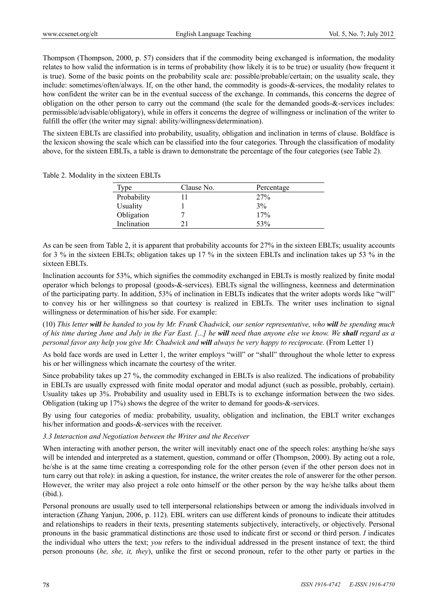Thompson (Thompson, 2000, p. 57) considers that if the commodity being exchanged is information, the modality relates to how valid the information is in terms of probability (how likely it is to be true) or usuality (how frequent it is true). Some of the basic points on the probability scale are: possible/probable/certain; on the usuality scale, they include: sometimes/often/always. If, on the other hand, the commodity is goods-&-services, the modality relates to how confident the writer can be in the eventual success of the exchange. In commands, this concerns the degree of obligation on the other person to carry out the command (the scale for the demanded goods-&-services includes: permissible/advisable/obligatory), while in offers it concerns the degree of willingness or inclination of the writer to fulfill the offer (the writer may signal: ability/willingness/determination).

The sixteen EBLTs are classified into probability, usuality, obligation and inclination in terms of clause. Boldface is the lexicon showing the scale which can be classified into the four categories. Through the classification of modality above, for the sixteen EBLTs, a table is drawn to demonstrate the percentage of the four categories (see Table 2).

Table 2. Modality in the sixteen EBLTs

| Type        | Clause No. | Percentage |  |
|-------------|------------|------------|--|
| Probability |            | 27%        |  |
| Usuality    |            | 3%         |  |
| Obligation  |            | 17%        |  |
| Inclination |            | 53%        |  |

As can be seen from Table 2, it is apparent that probability accounts for 27% in the sixteen EBLTs; usuality accounts for 3 % in the sixteen EBLTs; obligation takes up 17 % in the sixteen EBLTs and inclination takes up 53 % in the sixteen EBLTs.

Inclination accounts for 53%, which signifies the commodity exchanged in EBLTs is mostly realized by finite modal operator which belongs to proposal (goods-&-services). EBLTs signal the willingness, keenness and determination of the participating party. In addition, 53% of inclination in EBLTs indicates that the writer adopts words like "will" to convey his or her willingness so that courtesy is realized in EBLTs. The writer uses inclination to signal willingness or determination of his/her side. For example:

(10) *This letter will be handed to you by Mr. Frank Chadwick, our senior representative, who will be spending much of his time during June and July in the Far East. [...] he will need than anyone else we know. We shall regard as a personal favor any help you give Mr. Chadwick and will always be very happy to reciprocate.* (From Letter 1)

As bold face words are used in Letter 1, the writer employs "will" or "shall" throughout the whole letter to express his or her willingness which incarnate the courtesy of the writer.

Since probability takes up 27 %, the commodity exchanged in EBLTs is also realized. The indications of probability in EBLTs are usually expressed with finite modal operator and modal adjunct (such as possible, probably, certain). Usuality takes up 3%. Probability and usuality used in EBLTs is to exchange information between the two sides. Obligation (taking up 17%) shows the degree of the writer to demand for goods-&-services.

By using four categories of media: probability, usuality, obligation and inclination, the EBLT writer exchanges his/her information and goods-&-services with the receiver.

#### *3.3 Interaction and Negotiation between the Writer and the Receiver*

When interacting with another person, the writer will inevitably enact one of the speech roles: anything he/she says will be intended and interpreted as a statement, question, command or offer (Thompson, 2000). By acting out a role, he/she is at the same time creating a corresponding role for the other person (even if the other person does not in turn carry out that role): in asking a question, for instance, the writer creates the role of answerer for the other person. However, the writer may also project a role onto himself or the other person by the way he/she talks about them (ibid.).

Personal pronouns are usually used to tell interpersonal relationships between or among the individuals involved in interaction (Zhang Yanjun, 2006, p. 112). EBL writers can use different kinds of pronouns to indicate their attitudes and relationships to readers in their texts, presenting statements subjectively, interactively, or objectively. Personal pronouns in the basic grammatical distinctions are those used to indicate first or second or third person. *I* indicates the individual who utters the text; *you* refers to the individual addressed in the present instance of text; the third person pronouns (*he, she, it, they*), unlike the first or second pronoun, refer to the other party or parties in the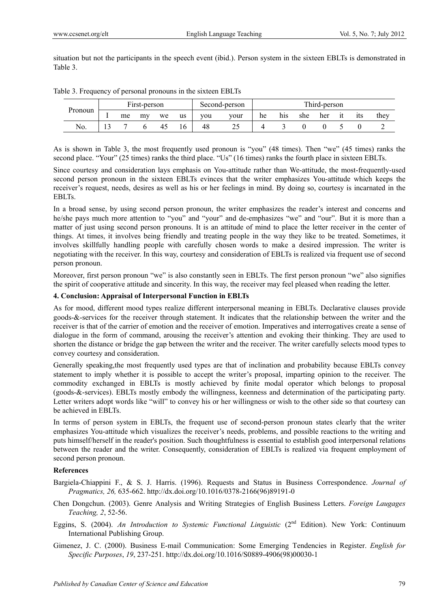situation but not the participants in the speech event (ibid.). Person system in the sixteen EBLTs is demonstrated in Table 3.

| Pronoun |    |    | First-person |    |    |     | Second-person | Third-person |     |     |     |  |     |      |  |
|---------|----|----|--------------|----|----|-----|---------------|--------------|-----|-----|-----|--|-----|------|--|
|         |    | me | my           | we | us | vou | vour          | he           | his | she | her |  | 1ts | they |  |
| No.     | 13 |    |              | 4. | 10 | 48  | ت ک           |              |     |     |     |  |     |      |  |

Table 3. Frequency of personal pronouns in the sixteen EBLTs

As is shown in Table 3, the most frequently used pronoun is "you" (48 times). Then "we" (45 times) ranks the second place. "Your" (25 times) ranks the third place. "Us" (16 times) ranks the fourth place in sixteen EBLTs.

Since courtesy and consideration lays emphasis on You-attitude rather than We-attitude, the most-frequently-used second person pronoun in the sixteen EBLTs evinces that the writer emphasizes You-attitude which keeps the receiver's request, needs, desires as well as his or her feelings in mind. By doing so, courtesy is incarnated in the EBLTs.

In a broad sense, by using second person pronoun, the writer emphasizes the reader's interest and concerns and he/she pays much more attention to "you" and "your" and de-emphasizes "we" and "our". But it is more than a matter of just using second person pronouns. It is an attitude of mind to place the letter receiver in the center of things. At times, it involves being friendly and treating people in the way they like to be treated. Sometimes, it involves skillfully handling people with carefully chosen words to make a desired impression. The writer is negotiating with the receiver. In this way, courtesy and consideration of EBLTs is realized via frequent use of second person pronoun.

Moreover, first person pronoun "we" is also constantly seen in EBLTs. The first person pronoun "we" also signifies the spirit of cooperative attitude and sincerity. In this way, the receiver may feel pleased when reading the letter.

## **4. Conclusion: Appraisal of Interpersonal Function in EBLTs**

As for mood, different mood types realize different interpersonal meaning in EBLTs. Declarative clauses provide goods-&-services for the receiver through statement. It indicates that the relationship between the writer and the receiver is that of the carrier of emotion and the receiver of emotion. Imperatives and interrogatives create a sense of dialogue in the form of command, arousing the receiver's attention and evoking their thinking. They are used to shorten the distance or bridge the gap between the writer and the receiver. The writer carefully selects mood types to convey courtesy and consideration.

Generally speaking,the most frequently used types are that of inclination and probability because EBLTs convey statement to imply whether it is possible to accept the writer's proposal, imparting opinion to the receiver. The commodity exchanged in EBLTs is mostly achieved by finite modal operator which belongs to proposal (goods-&-services). EBLTs mostly embody the willingness, keenness and determination of the participating party. Letter writers adopt words like "will" to convey his or her willingness or wish to the other side so that courtesy can be achieved in EBLTs.

In terms of person system in EBLTs, the frequent use of second-person pronoun states clearly that the writer emphasizes You-attitude which visualizes the receiver's needs, problems, and possible reactions to the writing and puts himself/herself in the reader's position. Such thoughtfulness is essential to establish good interpersonal relations between the reader and the writer. Consequently, consideration of EBLTs is realized via frequent employment of second person pronoun.

### **References**

Bargiela-Chiappini F., & S. J. Harris. (1996). Requests and Status in Business Correspondence. *Journal of Pragmatics, 26,* 635-662. http://dx.doi.org/10.1016/0378-2166(96)89191-0

- Chen Dongchun. (2003). Genre Analysis and Writing Strategies of English Business Letters. *Foreign Laugages Teaching, 2*, 52-56.
- Eggins, S. (2004). *An Introduction to Systemic Functional Linguistic* (2<sup>nd</sup> Edition). New York: Continuum International Publishing Group.
- Gimenez, J. C. (2000). Business E-mail Communication: Some Emerging Tendencies in Register. *English for Specific Purposes*, *19*, 237-251. http://dx.doi.org/10.1016/S0889-4906(98)00030-1